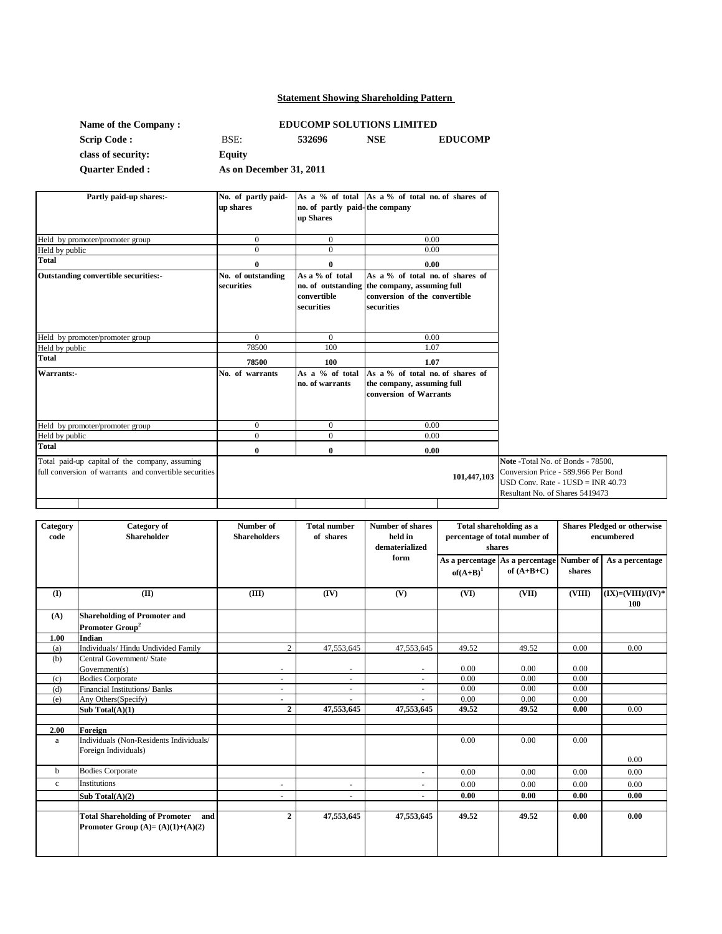### **Statement Showing Shareholding Pattern**

| Name of the Company: |        |
|----------------------|--------|
| <b>Scrip Code:</b>   | BSE:   |
| class of security:   | Equit  |
| Ouarter Fuded .      | A e on |

# **EDUCOMP SOLUTIONS LIMITED**

**Scrip Code :** BSE: **532696 NSE EDUCOMP Equity**

**Quarter Ended :**

**As on December 31, 2011**

| Partly paid-up shares:-                                                                                  | No. of partly paid-<br>up shares | no. of partly paid-the company<br>up Shares                        | As a % of total As a % of total no. of shares of                                                              |             |                                                                                                                                                     |
|----------------------------------------------------------------------------------------------------------|----------------------------------|--------------------------------------------------------------------|---------------------------------------------------------------------------------------------------------------|-------------|-----------------------------------------------------------------------------------------------------------------------------------------------------|
| Held by promoter/promoter group                                                                          | $\mathbf{0}$                     | $\overline{0}$                                                     | 0.00                                                                                                          |             |                                                                                                                                                     |
| Held by public                                                                                           | $\Omega$                         | $\Omega$                                                           | 0.00                                                                                                          |             |                                                                                                                                                     |
| <b>Total</b>                                                                                             | $\bf{0}$                         | 0                                                                  | 0.00                                                                                                          |             |                                                                                                                                                     |
| Outstanding convertible securities:-                                                                     | No. of outstanding<br>securities | As a % of total<br>no. of outstanding<br>convertible<br>securities | As a % of total no. of shares of<br>the company, assuming full<br>conversion of the convertible<br>securities |             |                                                                                                                                                     |
| Held by promoter/promoter group                                                                          | $\theta$                         | $\Omega$                                                           | 0.00                                                                                                          |             |                                                                                                                                                     |
| Held by public                                                                                           | 78500                            | 100                                                                | 1.07                                                                                                          |             |                                                                                                                                                     |
| <b>Total</b>                                                                                             | 78500                            | 100                                                                | 1.07                                                                                                          |             |                                                                                                                                                     |
| Warrants:-                                                                                               | No. of warrants                  | As $a \%$ of total<br>no. of warrants                              | As a % of total no. of shares of<br>the company, assuming full<br>conversion of Warrants                      |             |                                                                                                                                                     |
| Held by promoter/promoter group                                                                          | $\Omega$                         | $\mathbf{0}$                                                       | 0.00                                                                                                          |             |                                                                                                                                                     |
| Held by public                                                                                           | $\mathbf{0}$                     | $\overline{0}$                                                     | 0.00                                                                                                          |             |                                                                                                                                                     |
| <b>Total</b>                                                                                             | $\bf{0}$                         | $\bf{0}$                                                           | 0.00                                                                                                          |             |                                                                                                                                                     |
| Total paid-up capital of the company, assuming<br>full conversion of warrants and convertible securities |                                  |                                                                    |                                                                                                               | 101,447,103 | Note - Total No. of Bonds - 78500,<br>Conversion Price - 589.966 Per Bond<br>$USD Conv. Rate - IUSD = INR 40.73$<br>Resultant No. of Shares 5419473 |

| Category    | Category of                                                                        | Number of                | <b>Total number</b> | <b>Number of shares</b> | Total shareholding as a       |                 | <b>Shares Pledged or otherwise</b> |                               |
|-------------|------------------------------------------------------------------------------------|--------------------------|---------------------|-------------------------|-------------------------------|-----------------|------------------------------------|-------------------------------|
| code        | <b>Shareholder</b>                                                                 | <b>Shareholders</b>      | of shares           | held in                 | percentage of total number of |                 | encumbered                         |                               |
|             |                                                                                    |                          |                     | dematerialized          |                               | shares          |                                    |                               |
|             |                                                                                    |                          |                     | form                    | As a percentage               | As a percentage | Number of                          | As a percentage               |
|             |                                                                                    |                          |                     |                         | $of(A+B)^1$                   | of $(A+B+C)$    | shares                             |                               |
|             |                                                                                    |                          |                     |                         |                               |                 |                                    |                               |
| (I)         | (II)                                                                               | (III)                    | (IV)                | (V)                     | (VI)                          | (VII)           | (VIII)                             | $(IX) = (VIII)/(IV)^*$<br>100 |
| (A)         | <b>Shareholding of Promoter and</b>                                                |                          |                     |                         |                               |                 |                                    |                               |
|             | Promoter Group <sup>2</sup>                                                        |                          |                     |                         |                               |                 |                                    |                               |
| 1.00        | Indian                                                                             |                          |                     |                         |                               |                 |                                    |                               |
| (a)         | Individuals/ Hindu Undivided Family                                                | $\overline{c}$           | 47,553,645          | 47,553,645              | 49.52                         | 49.52           | 0.00                               | 0.00                          |
| (b)         | Central Government/ State                                                          |                          |                     |                         |                               |                 |                                    |                               |
|             | Government(s)                                                                      | $\sim$                   | ٠                   |                         | 0.00                          | 0.00            | 0.00                               |                               |
| (c)         | <b>Bodies Corporate</b>                                                            | $\overline{\phantom{a}}$ | ٠                   |                         | 0.00                          | 0.00            | 0.00                               |                               |
| (d)         | Financial Institutions/ Banks                                                      | $\sim$                   | ÷.                  |                         | 0.00                          | 0.00            | 0.00                               |                               |
| (e)         | Any Others (Specify)                                                               |                          |                     |                         | 0.00                          | 0.00            | 0.00                               |                               |
|             | Sub Total $(A)(1)$                                                                 | $\overline{2}$           | 47,553,645          | 47,553,645              | 49.52                         | 49.52           | 0.00                               | 0.00                          |
|             |                                                                                    |                          |                     |                         |                               |                 |                                    |                               |
| 2.00        | Foreign                                                                            |                          |                     |                         |                               |                 |                                    |                               |
| a           | Individuals (Non-Residents Individuals/                                            |                          |                     |                         | 0.00                          | 0.00            | 0.00                               |                               |
|             | Foreign Individuals)                                                               |                          |                     |                         |                               |                 |                                    | 0.00                          |
| $\mathbf b$ | <b>Bodies Corporate</b>                                                            |                          |                     |                         | 0.00                          | 0.00            | 0.00                               | 0.00                          |
| $\mathbf c$ | Institutions                                                                       | $\sim$                   |                     |                         | 0.00                          | 0.00            | 0.00                               | 0.00                          |
|             | Sub Total $(A)(2)$                                                                 |                          | $\overline{a}$      |                         | 0.00                          | 0.00            | 0.00                               | 0.00                          |
|             | <b>Total Shareholding of Promoter</b><br>and<br>Promoter Group $(A)=(A)(1)+(A)(2)$ | $\overline{\mathbf{c}}$  | 47,553,645          | 47,553,645              | 49.52                         | 49.52           | 0.00                               | 0.00                          |
|             |                                                                                    |                          |                     |                         |                               |                 |                                    |                               |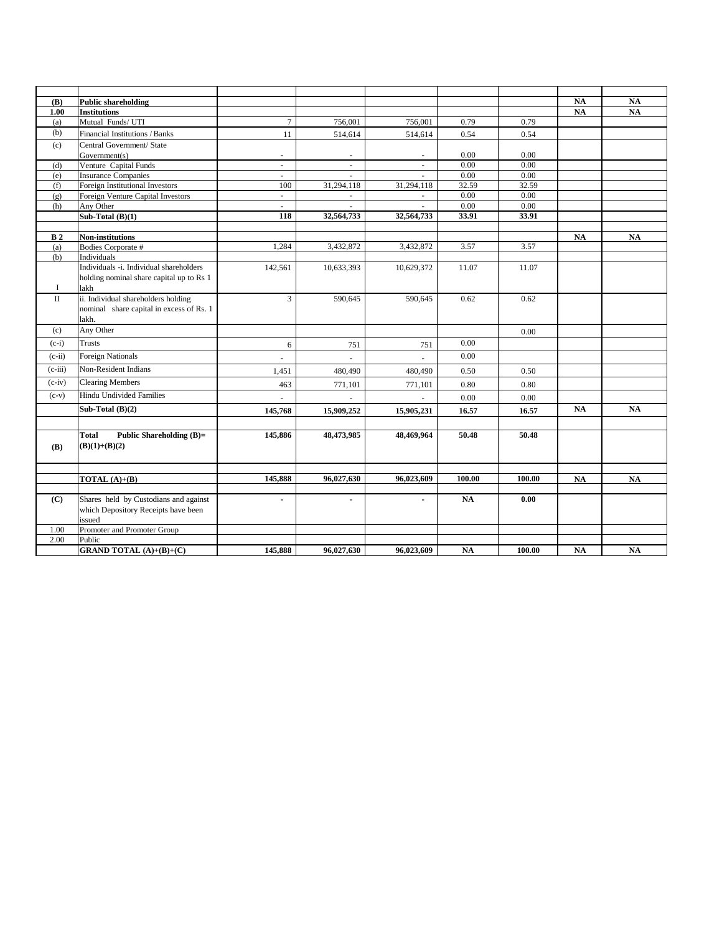| <b>(B)</b>              | <b>Public shareholding</b>               |                |                |                |              |              | <b>NA</b> | <b>NA</b> |
|-------------------------|------------------------------------------|----------------|----------------|----------------|--------------|--------------|-----------|-----------|
| 1.00                    | <b>Institutions</b>                      |                |                |                |              |              | <b>NA</b> | NA        |
| (a)                     | Mutual Funds/ UTI                        | $\overline{7}$ | 756,001        | 756,001        | 0.79         | 0.79         |           |           |
| (b)                     | Financial Institutions / Banks           | 11             | 514,614        | 514,614        | 0.54         | 0.54         |           |           |
| (c)                     | Central Government/ State                |                |                |                |              |              |           |           |
|                         | Government(s)                            | ÷.             |                |                | 0.00         | 0.00         |           |           |
| (d)                     | Venture Capital Funds                    | ÷              | ä,             |                | 0.00         | 0.00         |           |           |
| (e)                     | <b>Insurance Companies</b>               | ÷.             |                |                | 0.00         | 0.00         |           |           |
| (f)                     | Foreign Institutional Investors          | 100            | 31,294,118     | 31,294,118     | 32.59        | 32.59        |           |           |
| (g)                     | Foreign Venture Capital Investors        | $\sim$         | $\sim$         | $\sim$         | 0.00<br>0.00 | 0.00<br>0.00 |           |           |
| (h)                     | Any Other<br>Sub-Total $(B)(1)$          | $\sim$<br>118  | 32,564,733     | 32,564,733     | 33.91        | 33.91        |           |           |
|                         |                                          |                |                |                |              |              |           |           |
| B <sub>2</sub>          | Non-institutions                         |                |                |                |              |              | <b>NA</b> | <b>NA</b> |
| (a)                     | Bodies Corporate #                       | 1,284          | 3,432,872      | 3,432,872      | 3.57         | 3.57         |           |           |
| (b)                     | Individuals                              |                |                |                |              |              |           |           |
|                         | Individuals -i. Individual shareholders  | 142,561        | 10,633,393     | 10,629,372     | 11.07        | 11.07        |           |           |
|                         | holding nominal share capital up to Rs 1 |                |                |                |              |              |           |           |
| 1                       | lakh                                     |                |                |                |              |              |           |           |
| $\overline{\mathbf{u}}$ | ii. Individual shareholders holding      | $\overline{3}$ | 590,645        | 590,645        | 0.62         | 0.62         |           |           |
|                         | nominal share capital in excess of Rs. 1 |                |                |                |              |              |           |           |
|                         | lakh.                                    |                |                |                |              |              |           |           |
| (c)                     | Any Other                                |                |                |                |              | 0.00         |           |           |
| $(c-i)$                 | <b>Trusts</b>                            | 6              | 751            | 751            | 0.00         |              |           |           |
| $(c-ii)$                | <b>Foreign Nationals</b>                 |                |                |                | 0.00         |              |           |           |
| $(c-iii)$               | Non-Resident Indians                     | 1,451          | 480,490        | 480,490        | 0.50         | 0.50         |           |           |
| $(c-iv)$                | <b>Clearing Members</b>                  | 463            | 771,101        | 771,101        | 0.80         | 0.80         |           |           |
| $(c-v)$                 | <b>Hindu Undivided Families</b>          | $\sim$         |                |                | 0.00         | 0.00         |           |           |
|                         | Sub-Total $(B)(2)$                       | 145,768        | 15,909,252     | 15,905,231     | 16.57        | 16.57        | <b>NA</b> | <b>NA</b> |
|                         |                                          |                |                |                |              |              |           |           |
|                         | Total<br><b>Public Shareholding (B)=</b> | 145,886        | 48,473,985     | 48,469,964     | 50.48        | 50.48        |           |           |
| <b>(B)</b>              | $(B)(1)+(B)(2)$                          |                |                |                |              |              |           |           |
|                         |                                          |                |                |                |              |              |           |           |
|                         |                                          |                |                |                |              |              |           |           |
|                         | <b>TOTAL</b> $(A)+(B)$                   | 145,888        | 96,027,630     | 96,023,609     | 100.00       | 100.00       | NA        | <b>NA</b> |
|                         |                                          |                |                |                |              |              |           |           |
| (C)                     | Shares held by Custodians and against    | $\blacksquare$ | $\blacksquare$ | $\blacksquare$ | <b>NA</b>    | 0.00         |           |           |
|                         | which Depository Receipts have been      |                |                |                |              |              |           |           |
|                         | issued                                   |                |                |                |              |              |           |           |
| 1.00                    | Promoter and Promoter Group              |                |                |                |              |              |           |           |
| 2.00                    | Public                                   |                |                |                |              |              |           |           |
|                         | <b>GRAND TOTAL</b> (A)+(B)+(C)           | 145,888        | 96,027,630     | 96,023,609     | <b>NA</b>    | 100.00       | <b>NA</b> | <b>NA</b> |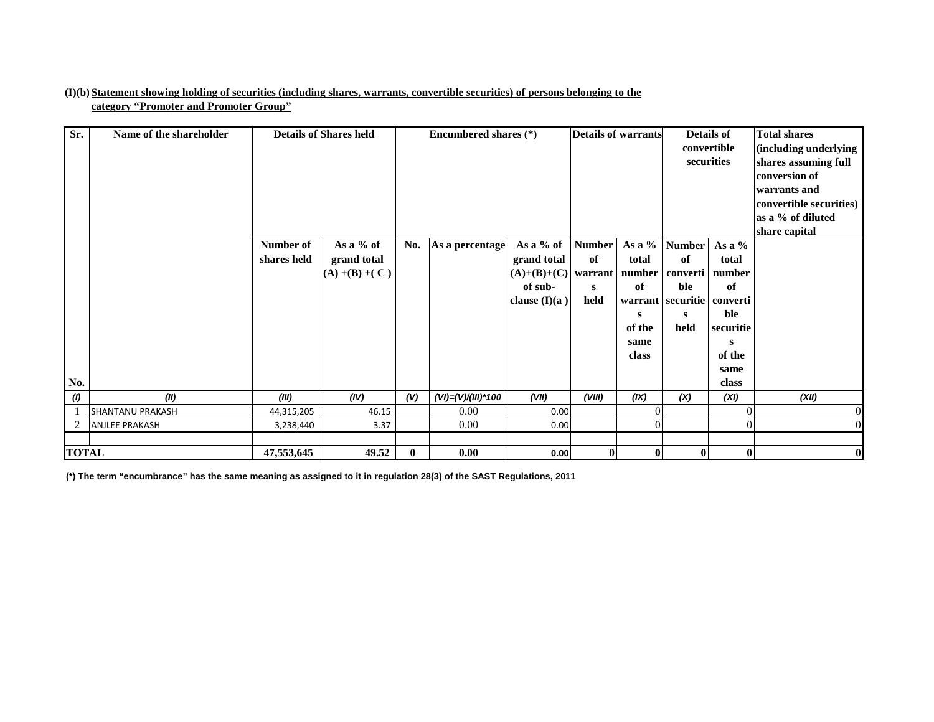#### **(I)(b)Statement showing holding of securities (including shares, warrants, convertible securities) of persons belonging to the category "Promoter and Promoter Group"**

| Sr.          | Name of the shareholder | <b>Details of Shares held</b> |                                               | Encumbered shares (*) |                    | <b>Details of warrants</b><br><b>Details of</b><br>convertible<br>securities    |                                  |                                                                 | <b>Total shares</b><br>(including underlying<br>shares assuming full<br>conversion of<br>warrants and<br>convertible securities)<br>as a % of diluted<br>share capital |                                                                                                           |                |
|--------------|-------------------------|-------------------------------|-----------------------------------------------|-----------------------|--------------------|---------------------------------------------------------------------------------|----------------------------------|-----------------------------------------------------------------|------------------------------------------------------------------------------------------------------------------------------------------------------------------------|-----------------------------------------------------------------------------------------------------------|----------------|
| No.          |                         | Number of<br>shares held      | As a % of<br>grand total<br>$(A) + (B) + (C)$ | No.                   | As a percentage    | As a % of<br>grand total<br>$(A)+(B)+(C)$ warrant<br>of sub-<br>clause $(I)(a)$ | <b>Number</b><br>of<br>S<br>held | As a %<br>total<br>number<br>of<br>s<br>of the<br>same<br>class | <b>Number</b><br>of<br>converti<br>ble<br>warrant   securitie  <br>s<br>held                                                                                           | As a $%$<br>total<br>number<br>of<br>converti<br>ble<br>securitie<br>${\bf S}$<br>of the<br>same<br>class |                |
| (1)          | (II)                    | (III)                         | (IV)                                          | (V)                   | (VI)=(V)/(III)*100 | (VII)                                                                           | (VIII)                           | (IX)                                                            | (X)                                                                                                                                                                    | (XI)                                                                                                      | (XII)          |
|              | <b>SHANTANU PRAKASH</b> | 44,315,205                    | 46.15                                         |                       | 0.00               | 0.00                                                                            |                                  |                                                                 |                                                                                                                                                                        |                                                                                                           | $\overline{0}$ |
| 2            | <b>ANJLEE PRAKASH</b>   | 3,238,440                     | 3.37                                          |                       | 0.00               | 0.00                                                                            |                                  |                                                                 |                                                                                                                                                                        | 0                                                                                                         | $\overline{0}$ |
| <b>TOTAL</b> |                         | 47,553,645                    | 49.52                                         | $\mathbf{0}$          | 0.00               | 0.00                                                                            | $\bf{0}$                         | $\mathbf{0}$                                                    | $\mathbf{0}$                                                                                                                                                           | $\bf{0}$                                                                                                  | $\bf{0}$       |

**(\*) The term "encumbrance" has the same meaning as assigned to it in regulation 28(3) of the SAST Regulations, 2011**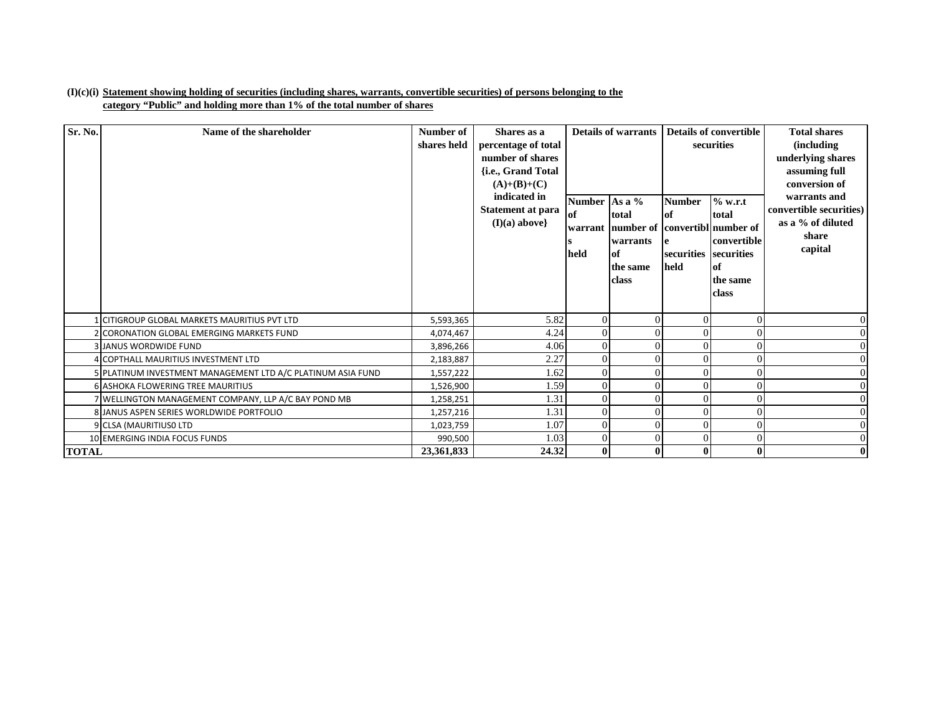#### **(I)(c)(i) Statement showing holding of securities (including shares, warrants, convertible securities) of persons belonging to the category "Public" and holding more than 1% of the total number of shares**

| Sr. No.      | Name of the shareholder                                     | Number of<br>shares held | Shares as a<br>percentage of total<br>number of shares<br>{i.e., Grand Total<br>$(A)+(B)+(C)$<br>indicated in<br>Statement at para<br>$(I)(a)$ above} | <b>Number</b><br>of<br>warrant<br>held | <b>Details of warrants</b><br>As a $%$<br>total<br>number of convertibl number of<br>warrants<br>of<br>the same<br>class | <b>Number</b><br>lof<br>securities securities<br>held | Details of convertible<br>securities<br>% w.r.t<br>total<br>convertible<br>of<br>the same<br>class | <b>Total shares</b><br><i>(including)</i><br>underlying shares<br>assuming full<br>conversion of<br>warrants and<br>convertible securities)<br>as a % of diluted<br>share<br>capital |
|--------------|-------------------------------------------------------------|--------------------------|-------------------------------------------------------------------------------------------------------------------------------------------------------|----------------------------------------|--------------------------------------------------------------------------------------------------------------------------|-------------------------------------------------------|----------------------------------------------------------------------------------------------------|--------------------------------------------------------------------------------------------------------------------------------------------------------------------------------------|
|              | 1 CITIGROUP GLOBAL MARKETS MAURITIUS PVT LTD                | 5,593,365                | 5.82                                                                                                                                                  |                                        | $\Omega$                                                                                                                 |                                                       | 0                                                                                                  |                                                                                                                                                                                      |
|              | 2 CORONATION GLOBAL EMERGING MARKETS FUND                   | 4,074,467                | 4.24                                                                                                                                                  |                                        | $\Omega$                                                                                                                 |                                                       | 0                                                                                                  |                                                                                                                                                                                      |
|              | <b>3 JANUS WORDWIDE FUND</b>                                | 3,896,266                | 4.06                                                                                                                                                  |                                        |                                                                                                                          |                                                       | 0                                                                                                  |                                                                                                                                                                                      |
|              | 4 COPTHALL MAURITIUS INVESTMENT LTD                         | 2,183,887                | 2.27                                                                                                                                                  |                                        | $\Omega$                                                                                                                 |                                                       | $\theta$                                                                                           |                                                                                                                                                                                      |
|              | 5 PLATINUM INVESTMENT MANAGEMENT LTD A/C PLATINUM ASIA FUND | 1,557,222                | 1.62                                                                                                                                                  |                                        | $\Omega$                                                                                                                 |                                                       | 0                                                                                                  |                                                                                                                                                                                      |
|              | <b>6 ASHOKA FLOWERING TREE MAURITIUS</b>                    | 1,526,900                | 1.59                                                                                                                                                  |                                        | $\Omega$                                                                                                                 |                                                       | 0                                                                                                  |                                                                                                                                                                                      |
|              | 7 WELLINGTON MANAGEMENT COMPANY, LLP A/C BAY POND MB        | 1,258,251                | 1.31                                                                                                                                                  |                                        | $\Omega$                                                                                                                 |                                                       | 0                                                                                                  |                                                                                                                                                                                      |
|              | 8 JANUS ASPEN SERIES WORLDWIDE PORTFOLIO                    | 1,257,216                | 1.31                                                                                                                                                  |                                        | $\Omega$                                                                                                                 |                                                       | $\theta$                                                                                           |                                                                                                                                                                                      |
|              | 9 CLSA (MAURITIUSO LTD                                      | 1,023,759                | 1.07                                                                                                                                                  |                                        | $\Omega$                                                                                                                 |                                                       | 0                                                                                                  |                                                                                                                                                                                      |
|              | 10 EMERGING INDIA FOCUS FUNDS                               | 990,500                  | 1.03                                                                                                                                                  |                                        | $\Omega$                                                                                                                 |                                                       | 0                                                                                                  |                                                                                                                                                                                      |
| <b>TOTAL</b> |                                                             | 23.361.833               | 24.32                                                                                                                                                 |                                        | $\mathbf{0}$                                                                                                             | 0                                                     | 0                                                                                                  |                                                                                                                                                                                      |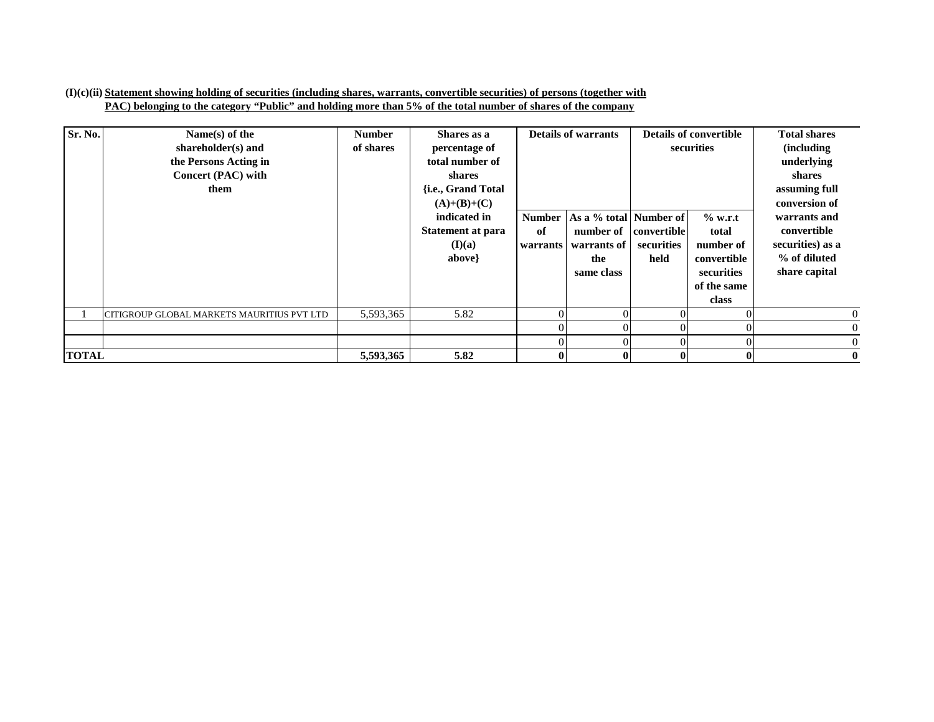#### **(I)(c)(ii) Statement showing holding of securities (including shares, warrants, convertible securities) of persons (together with PAC) belonging to the category "Public" and holding more than 5% of the total number of shares of the company**

| Sr. No.      | Name $(s)$ of the<br>shareholder(s) and<br>the Persons Acting in<br>Concert (PAC) with<br>them | <b>Number</b><br>of shares | Shares as a<br>percentage of<br>total number of<br>shares<br>{ <i>i.e.</i> , Grand Total<br>$(A)+(B)+(C)$ | <b>Details of warrants</b>      |                                                                         |                                          |                                                                                      |                                                                                  | <b>Details of convertible</b><br>securities | <b>Total shares</b><br><i>(including)</i><br>underlying<br>shares<br>assuming full<br>conversion of |
|--------------|------------------------------------------------------------------------------------------------|----------------------------|-----------------------------------------------------------------------------------------------------------|---------------------------------|-------------------------------------------------------------------------|------------------------------------------|--------------------------------------------------------------------------------------|----------------------------------------------------------------------------------|---------------------------------------------|-----------------------------------------------------------------------------------------------------|
|              |                                                                                                |                            | indicated in<br><b>Statement at para</b><br>(I)(a)<br>above}                                              | <b>Number</b><br>of<br>warrants | As a % total Number of<br>number of<br>warrants of<br>the<br>same class | <b>convertible</b><br>securities<br>held | $%$ w.r.t<br>total<br>number of<br>convertible<br>securities<br>of the same<br>class | warrants and<br>convertible<br>securities) as a<br>% of diluted<br>share capital |                                             |                                                                                                     |
|              | CITIGROUP GLOBAL MARKETS MAURITIUS PVT LTD                                                     | 5,593,365                  | 5.82                                                                                                      |                                 |                                                                         | $\Omega$                                 |                                                                                      | $\overline{0}$                                                                   |                                             |                                                                                                     |
|              |                                                                                                |                            |                                                                                                           |                                 |                                                                         |                                          |                                                                                      | $\overline{0}$                                                                   |                                             |                                                                                                     |
|              |                                                                                                |                            |                                                                                                           |                                 |                                                                         | $\Omega$                                 |                                                                                      | $\overline{0}$                                                                   |                                             |                                                                                                     |
| <b>TOTAL</b> |                                                                                                | 5,593,365                  | 5.82                                                                                                      |                                 |                                                                         | $\mathbf{0}$                             |                                                                                      | $\mathbf{0}$                                                                     |                                             |                                                                                                     |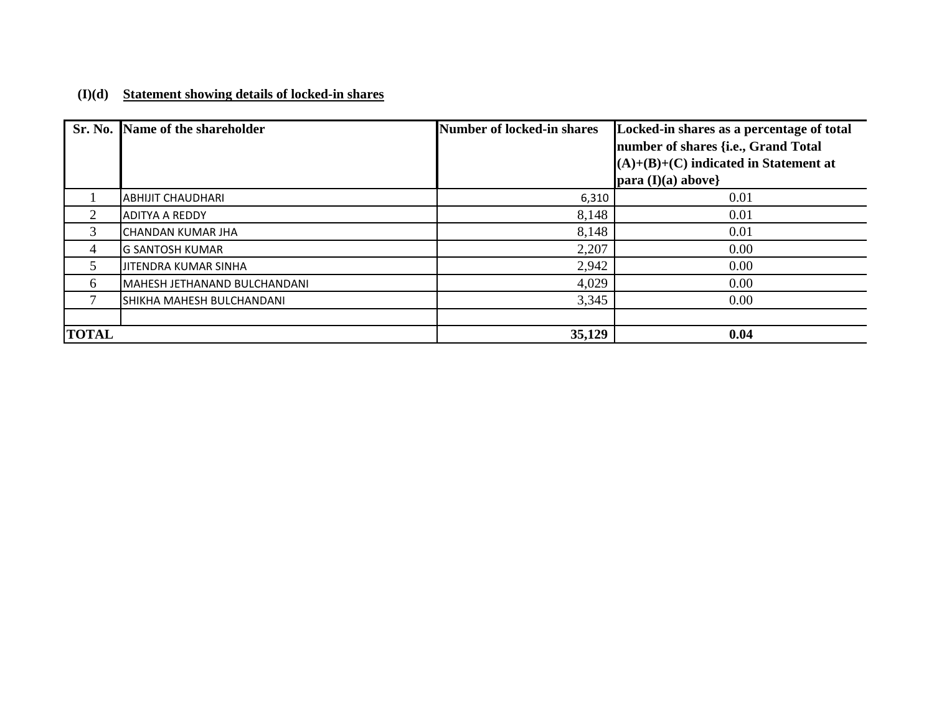## **(I)(d) Statement showing details of locked-in shares**

|              | Sr. No. Name of the shareholder | Number of locked-in shares | Locked-in shares as a percentage of total<br>number of shares {i.e., Grand Total |
|--------------|---------------------------------|----------------------------|----------------------------------------------------------------------------------|
|              |                                 |                            | $(A)+(B)+(C)$ indicated in Statement at                                          |
|              |                                 |                            | para $(I)(a)$ above}                                                             |
|              | <b>ABHIJIT CHAUDHARI</b>        | 6,310                      | 0.01                                                                             |
| 2            | <b>ADITYA A REDDY</b>           | 8,148                      | 0.01                                                                             |
| 3            | ICHANDAN KUMAR JHA              | 8,148                      | 0.01                                                                             |
| 4            | <b>G SANTOSH KUMAR</b>          | 2,207                      | 0.00                                                                             |
| 5            | JITENDRA KUMAR SINHA            | 2,942                      | 0.00                                                                             |
| 6            | MAHESH JETHANAND BULCHANDANI    | 4,029                      | 0.00                                                                             |
|              | SHIKHA MAHESH BULCHANDANI       | 3,345                      | 0.00                                                                             |
|              |                                 |                            |                                                                                  |
| <b>TOTAL</b> |                                 | 35,129                     | 0.04                                                                             |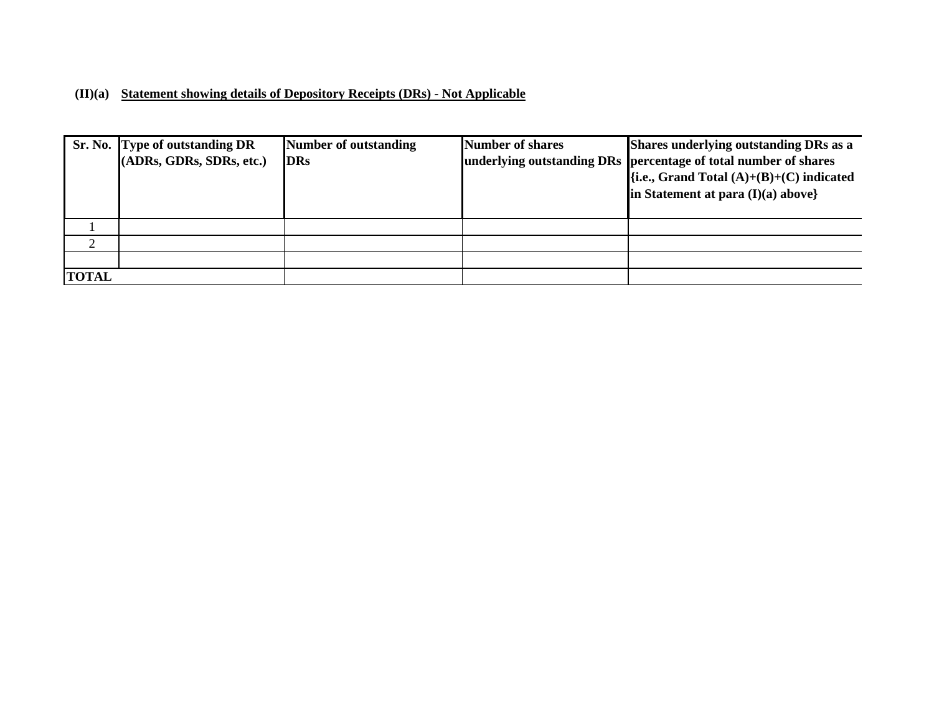### **(II)(a) Statement showing details of Depository Receipts (DRs) - Not Applicable**

|              | Sr. No. Type of outstanding DR | <b>Number of outstanding</b> | <b>Number of shares</b> | Shares underlying outstanding DRs as a                          |
|--------------|--------------------------------|------------------------------|-------------------------|-----------------------------------------------------------------|
|              | (ADRs, GDRs, SDRs, etc.)       | <b>DRs</b>                   |                         | underlying outstanding DRs percentage of total number of shares |
|              |                                |                              |                         | $\{i.e., Grand Total (A)+(B)+(C) indicated\}$                   |
|              |                                |                              |                         | in Statement at para $(I)(a)$ above}                            |
|              |                                |                              |                         |                                                                 |
|              |                                |                              |                         |                                                                 |
| $\bigcap$    |                                |                              |                         |                                                                 |
|              |                                |                              |                         |                                                                 |
| <b>TOTAL</b> |                                |                              |                         |                                                                 |